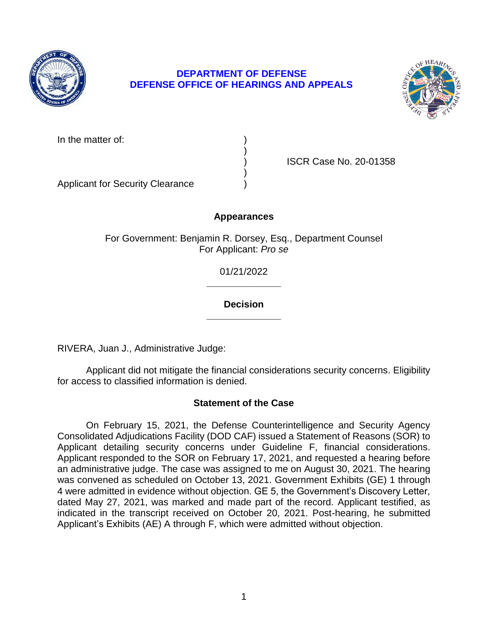

# **DEPARTMENT OF DEFENSE DEFENSE OFFICE OF HEARINGS AND APPEALS**



In the matter of:

) ISCR Case No. 20-01358

Applicant for Security Clearance )

# **Appearances**

)

)

For Government: Benjamin R. Dorsey, Esq., Department Counsel For Applicant: *Pro se* 

> **\_\_\_\_\_\_\_\_\_\_\_\_\_\_**  01/21/2022

### **\_\_\_\_\_\_\_\_\_\_\_\_\_\_ Decision**

RIVERA, Juan J., Administrative Judge:

Applicant did not mitigate the financial considerations security concerns. Eligibility for access to classified information is denied.

# **Statement of the Case**

 On February 15, 2021, the Defense Counterintelligence and Security Agency Applicant responded to the SOR on February 17, 2021, and requested a hearing before an administrative judge. The case was assigned to me on August 30, 2021. The hearing was convened as scheduled on October 13, 2021. Government Exhibits (GE) 1 through 4 were admitted in evidence without objection. GE 5, the Government's Discovery Letter, dated May 27, 2021, was marked and made part of the record. Applicant testified, as indicated in the transcript received on October 20, 2021. Post-hearing, he submitted Consolidated Adjudications Facility (DOD CAF) issued a Statement of Reasons (SOR) to Applicant detailing security concerns under Guideline F, financial considerations. Applicant's Exhibits (AE) A through F, which were admitted without objection.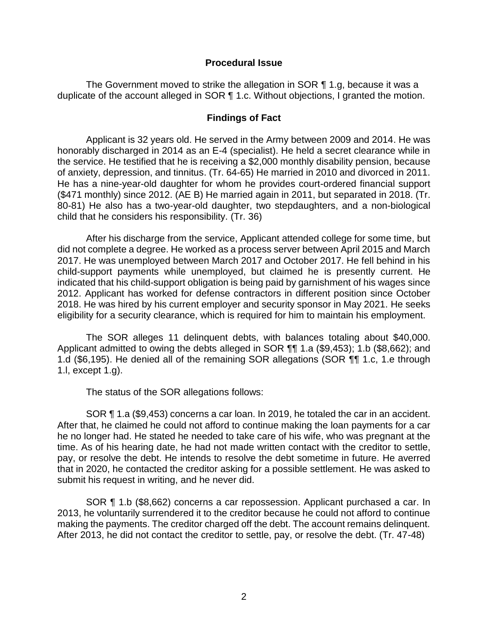### **Procedural Issue**

The Government moved to strike the allegation in SOR ¶ 1.g, because it was a duplicate of the account alleged in SOR ¶ 1.c. Without objections, I granted the motion.

### **Findings of Fact**

 Applicant is 32 years old. He served in the Army between 2009 and 2014. He was honorably discharged in 2014 as an E-4 (specialist). He held a secret clearance while in the service. He testified that he is receiving a \$2,000 monthly disability pension, because of anxiety, depression, and tinnitus. (Tr. 64-65) He married in 2010 and divorced in 2011. He has a nine-year-old daughter for whom he provides court-ordered financial support 80-81) He also has a two-year-old daughter, two stepdaughters, and a non-biological (\$471 monthly) since 2012. (AE B) He married again in 2011, but separated in 2018. (Tr. child that he considers his responsibility. (Tr. 36)

 After his discharge from the service, Applicant attended college for some time, but did not complete a degree. He worked as a process server between April 2015 and March child-support payments while unemployed, but claimed he is presently current. He indicated that his child-support obligation is being paid by garnishment of his wages since 2012. Applicant has worked for defense contractors in different position since October 2018. He was hired by his current employer and security sponsor in May 2021. He seeks 2017. He was unemployed between March 2017 and October 2017. He fell behind in his eligibility for a security clearance, which is required for him to maintain his employment.

The SOR alleges 11 delinquent debts, with balances totaling about \$40,000. Applicant admitted to owing the debts alleged in SOR ¶¶ 1.a (\$9,453); 1.b (\$8,662); and 1.d (\$6,195). He denied all of the remaining SOR allegations (SOR ¶¶ 1.c, 1.e through 1.l, except 1.g).

The status of the SOR allegations follows:

 SOR ¶ 1.a (\$9,453) concerns a car loan. In 2019, he totaled the car in an accident. time. As of his hearing date, he had not made written contact with the creditor to settle, pay, or resolve the debt. He intends to resolve the debt sometime in future. He averred that in 2020, he contacted the creditor asking for a possible settlement. He was asked to After that, he claimed he could not afford to continue making the loan payments for a car he no longer had. He stated he needed to take care of his wife, who was pregnant at the submit his request in writing, and he never did.

 SOR ¶ 1.b (\$8,662) concerns a car repossession. Applicant purchased a car. In 2013, he voluntarily surrendered it to the creditor because he could not afford to continue making the payments. The creditor charged off the debt. The account remains delinquent. After 2013, he did not contact the creditor to settle, pay, or resolve the debt. (Tr. 47-48)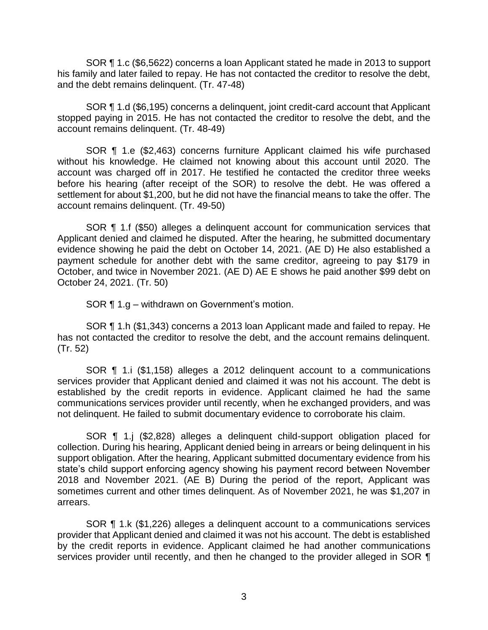SOR ¶ 1.c (\$6,5622) concerns a loan Applicant stated he made in 2013 to support his family and later failed to repay. He has not contacted the creditor to resolve the debt, and the debt remains delinquent. (Tr. 47-48)

 SOR ¶ 1.d (\$6,195) concerns a delinquent, joint credit-card account that Applicant stopped paying in 2015. He has not contacted the creditor to resolve the debt, and the account remains delinquent. (Tr. 48-49)

 SOR ¶ 1.e (\$2,463) concerns furniture Applicant claimed his wife purchased account was charged off in 2017. He testified he contacted the creditor three weeks before his hearing (after receipt of the SOR) to resolve the debt. He was offered a settlement for about \$1,200, but he did not have the financial means to take the offer. The without his knowledge. He claimed not knowing about this account until 2020. The account remains delinquent. (Tr. 49-50)

 SOR ¶ 1.f (\$50) alleges a delinquent account for communication services that Applicant denied and claimed he disputed. After the hearing, he submitted documentary evidence showing he paid the debt on October 14, 2021. (AE D) He also established a payment schedule for another debt with the same creditor, agreeing to pay \$179 in October, and twice in November 2021. (AE D) AE E shows he paid another \$99 debt on October 24, 2021. (Tr. 50)

SOR ¶ 1.g – withdrawn on Government's motion.

 SOR ¶ 1.h (\$1,343) concerns a 2013 loan Applicant made and failed to repay. He has not contacted the creditor to resolve the debt, and the account remains delinquent. (Tr. 52)

 SOR ¶ 1.i (\$1,158) alleges a 2012 delinquent account to a communications services provider that Applicant denied and claimed it was not his account. The debt is established by the credit reports in evidence. Applicant claimed he had the same communications services provider until recently, when he exchanged providers, and was not delinquent. He failed to submit documentary evidence to corroborate his claim.

 SOR ¶ 1.j (\$2,828) alleges a delinquent child-support obligation placed for collection. During his hearing, Applicant denied being in arrears or being delinquent in his support obligation. After the hearing, Applicant submitted documentary evidence from his state's child support enforcing agency showing his payment record between November 2018 and November 2021. (AE B) During the period of the report, Applicant was sometimes current and other times delinquent. As of November 2021, he was \$1,207 in arrears.

 SOR ¶ 1.k (\$1,226) alleges a delinquent account to a communications services provider that Applicant denied and claimed it was not his account. The debt is established by the credit reports in evidence. Applicant claimed he had another communications services provider until recently, and then he changed to the provider alleged in SOR  $\P$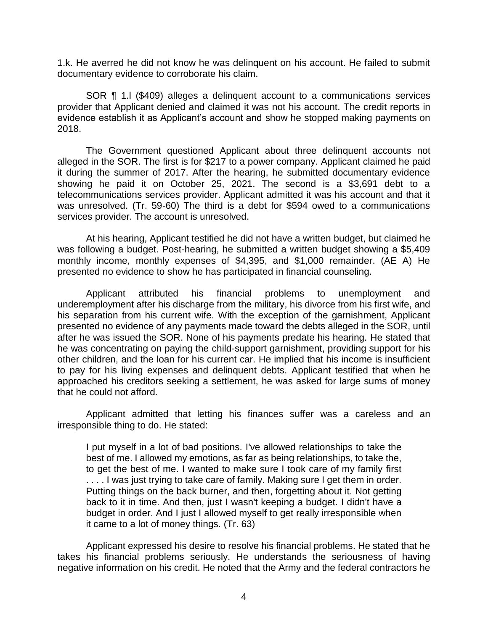1.k. He averred he did not know he was delinquent on his account. He failed to submit documentary evidence to corroborate his claim.

 SOR ¶ 1.l (\$409) alleges a delinquent account to a communications services provider that Applicant denied and claimed it was not his account. The credit reports in evidence establish it as Applicant's account and show he stopped making payments on 2018.

 alleged in the SOR. The first is for \$217 to a power company. Applicant claimed he paid it during the summer of 2017. After the hearing, he submitted documentary evidence showing he paid it on October 25, 2021. The second is a \$3,691 debt to a telecommunications services provider. Applicant admitted it was his account and that it was unresolved. (Tr. 59-60) The third is a debt for \$594 owed to a communications The Government questioned Applicant about three delinquent accounts not services provider. The account is unresolved.

 At his hearing, Applicant testified he did not have a written budget, but claimed he was following a budget. Post-hearing, he submitted a written budget showing a \$5,409 monthly income, monthly expenses of \$4,395, and \$1,000 remainder. (AE A) He presented no evidence to show he has participated in financial counseling.

 underemployment after his discharge from the military, his divorce from his first wife, and his separation from his current wife. With the exception of the garnishment, Applicant presented no evidence of any payments made toward the debts alleged in the SOR, until after he was issued the SOR. None of his payments predate his hearing. He stated that he was concentrating on paying the child-support garnishment, providing support for his other children, and the loan for his current car. He implied that his income is insufficient to pay for his living expenses and delinquent debts. Applicant testified that when he approached his creditors seeking a settlement, he was asked for large sums of money Applicant attributed his financial problems to unemployment and that he could not afford.

Applicant admitted that letting his finances suffer was a careless and an irresponsible thing to do. He stated:

I put myself in a lot of bad positions. I've allowed relationships to take the best of me. I allowed my emotions, as far as being relationships, to take the, to get the best of me. I wanted to make sure I took care of my family first .... I was just trying to take care of family. Making sure I get them in order. Putting things on the back burner, and then, forgetting about it. Not getting back to it in time. And then, just I wasn't keeping a budget. I didn't have a budget in order. And I just I allowed myself to get really irresponsible when it came to a lot of money things. (Tr. 63)

 Applicant expressed his desire to resolve his financial problems. He stated that he takes his financial problems seriously. He understands the seriousness of having negative information on his credit. He noted that the Army and the federal contractors he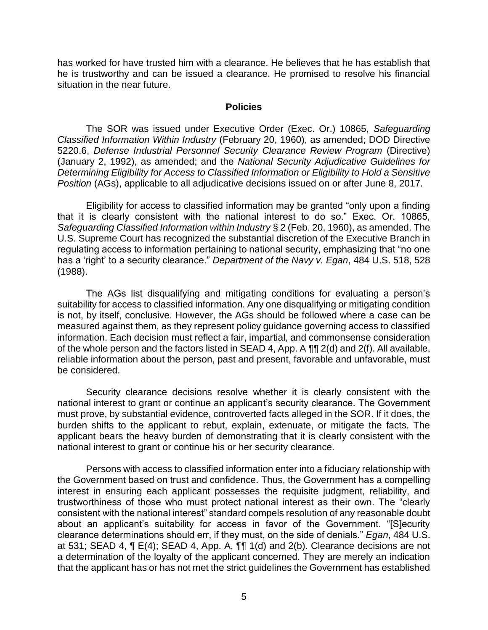has worked for have trusted him with a clearance. He believes that he has establish that he is trustworthy and can be issued a clearance. He promised to resolve his financial situation in the near future.

#### **Policies**

 The SOR was issued under Executive Order (Exec. Or.) 10865, *Safeguarding Classified Information Within Industry* (February 20, 1960), as amended; DOD Directive 5220.6, *Defense Industrial Personnel Security Clearance Review Program* (Directive) (January 2, 1992), as amended; and the *National Security Adjudicative Guidelines for Determining Eligibility for Access to Classified Information or Eligibility to Hold a Sensitive Position* (AGs), applicable to all adjudicative decisions issued on or after June 8, 2017.

Eligibility for access to classified information may be granted "only upon a finding that it is clearly consistent with the national interest to do so." Exec. Or. 10865, *Safeguarding Classified Information within Industry* § 2 (Feb. 20, 1960), as amended. The U.S. Supreme Court has recognized the substantial discretion of the Executive Branch in regulating access to information pertaining to national security, emphasizing that "no one has a 'right' to a security clearance." *Department of the Navy v. Egan*, 484 U.S. 518, 528 (1988).

 The AGs list disqualifying and mitigating conditions for evaluating a person's suitability for access to classified information. Any one disqualifying or mitigating condition is not, by itself, conclusive. However, the AGs should be followed where a case can be measured against them, as they represent policy guidance governing access to classified information. Each decision must reflect a fair, impartial, and commonsense consideration of the whole person and the factors listed in SEAD 4, App. A  $\P\P$  2(d) and 2(f). All available, reliable information about the person, past and present, favorable and unfavorable, must be considered.

 Security clearance decisions resolve whether it is clearly consistent with the national interest to grant or continue an applicant's security clearance. The Government must prove, by substantial evidence, controverted facts alleged in the SOR. If it does, the burden shifts to the applicant to rebut, explain, extenuate, or mitigate the facts. The applicant bears the heavy burden of demonstrating that it is clearly consistent with the national interest to grant or continue his or her security clearance.

 Persons with access to classified information enter into a fiduciary relationship with the Government based on trust and confidence. Thus, the Government has a compelling interest in ensuring each applicant possesses the requisite judgment, reliability, and trustworthiness of those who must protect national interest as their own. The "clearly consistent with the national interest" standard compels resolution of any reasonable doubt about an applicant's suitability for access in favor of the Government. "[S]ecurity clearance determinations should err, if they must, on the side of denials." *Egan*, 484 U.S. a determination of the loyalty of the applicant concerned. They are merely an indication at 531; SEAD 4, ¶ E(4); SEAD 4, App. A, ¶¶ 1(d) and 2(b). Clearance decisions are not that the applicant has or has not met the strict guidelines the Government has established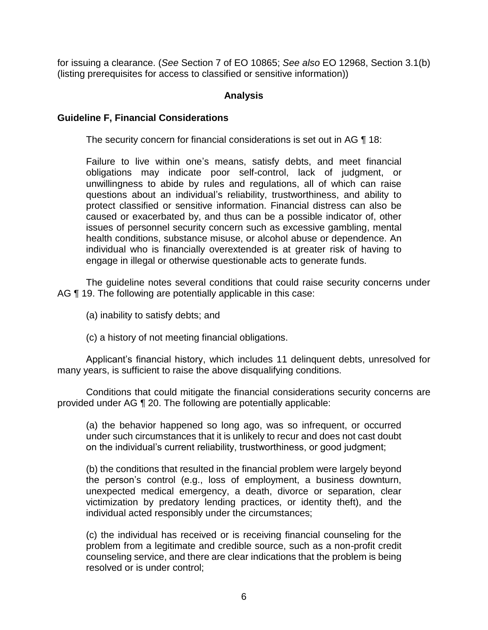for issuing a clearance. (*See* Section 7 of EO 10865; *See also* EO 12968, Section 3.1(b) (listing prerequisites for access to classified or sensitive information))

## **Analysis**

### **Guideline F, Financial Considerations**

The security concern for financial considerations is set out in AG ¶ 18:

Failure to live within one's means, satisfy debts, and meet financial obligations may indicate poor self-control, lack of judgment, or unwillingness to abide by rules and regulations, all of which can raise questions about an individual's reliability, trustworthiness, and ability to protect classified or sensitive information. Financial distress can also be caused or exacerbated by, and thus can be a possible indicator of, other issues of personnel security concern such as excessive gambling, mental health conditions, substance misuse, or alcohol abuse or dependence. An individual who is financially overextended is at greater risk of having to engage in illegal or otherwise questionable acts to generate funds.

 The guideline notes several conditions that could raise security concerns under AG ¶ 19. The following are potentially applicable in this case:

- (a) inability to satisfy debts; and
- (c) a history of not meeting financial obligations.

 Applicant's financial history, which includes 11 delinquent debts, unresolved for many years, is sufficient to raise the above disqualifying conditions.

 provided under AG ¶ 20. The following are potentially applicable: Conditions that could mitigate the financial considerations security concerns are

(a) the behavior happened so long ago, was so infrequent, or occurred under such circumstances that it is unlikely to recur and does not cast doubt on the individual's current reliability, trustworthiness, or good judgment;

(b) the conditions that resulted in the financial problem were largely beyond the person's control (e.g., loss of employment, a business downturn, unexpected medical emergency, a death, divorce or separation, clear victimization by predatory lending practices, or identity theft), and the individual acted responsibly under the circumstances;

 (c) the individual has received or is receiving financial counseling for the problem from a legitimate and credible source, such as a non-profit credit counseling service, and there are clear indications that the problem is being resolved or is under control;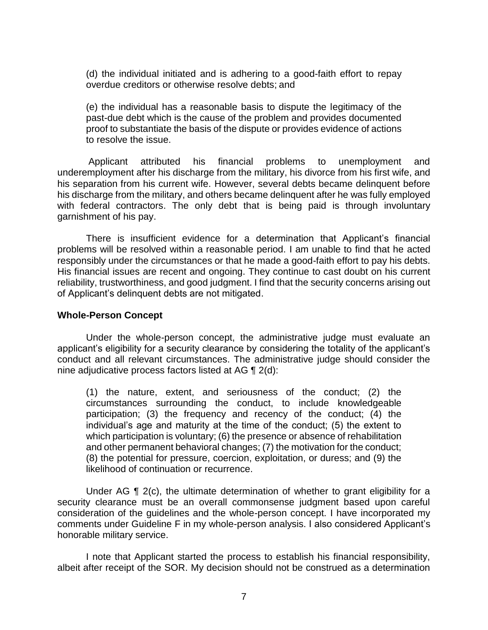(d) the individual initiated and is adhering to a good-faith effort to repay overdue creditors or otherwise resolve debts; and

 (e) the individual has a reasonable basis to dispute the legitimacy of the proof to substantiate the basis of the dispute or provides evidence of actions past-due debt which is the cause of the problem and provides documented to resolve the issue.

problems to unemployment underemployment after his discharge from the military, his divorce from his first wife, and his separation from his current wife. However, several debts became delinquent before his discharge from the military, and others became delinquent after he was fully employed with federal contractors. The only debt that is being paid is through involuntary Applicant attributed his financial problems to unemployment and garnishment of his pay.

 There is insufficient evidence for a determination that Applicant's financial problems will be resolved within a reasonable period. I am unable to find that he acted responsibly under the circumstances or that he made a good-faith effort to pay his debts. His financial issues are recent and ongoing. They continue to cast doubt on his current reliability, trustworthiness, and good judgment. I find that the security concerns arising out of Applicant's delinquent debts are not mitigated.

### **Whole-Person Concept**

Under the whole-person concept, the administrative judge must evaluate an applicant's eligibility for a security clearance by considering the totality of the applicant's conduct and all relevant circumstances. The administrative judge should consider the nine adjudicative process factors listed at AG ¶ 2(d):

(1) the nature, extent, and seriousness of the conduct; (2) the circumstances surrounding the conduct, to include knowledgeable participation; (3) the frequency and recency of the conduct; (4) the individual's age and maturity at the time of the conduct; (5) the extent to which participation is voluntary; (6) the presence or absence of rehabilitation and other permanent behavioral changes; (7) the motivation for the conduct; (8) the potential for pressure, coercion, exploitation, or duress; and (9) the likelihood of continuation or recurrence.

 Under AG ¶ 2(c), the ultimate determination of whether to grant eligibility for a security clearance must be an overall commonsense judgment based upon careful consideration of the guidelines and the whole-person concept. I have incorporated my comments under Guideline F in my whole-person analysis. I also considered Applicant's honorable military service.

 I note that Applicant started the process to establish his financial responsibility, albeit after receipt of the SOR. My decision should not be construed as a determination